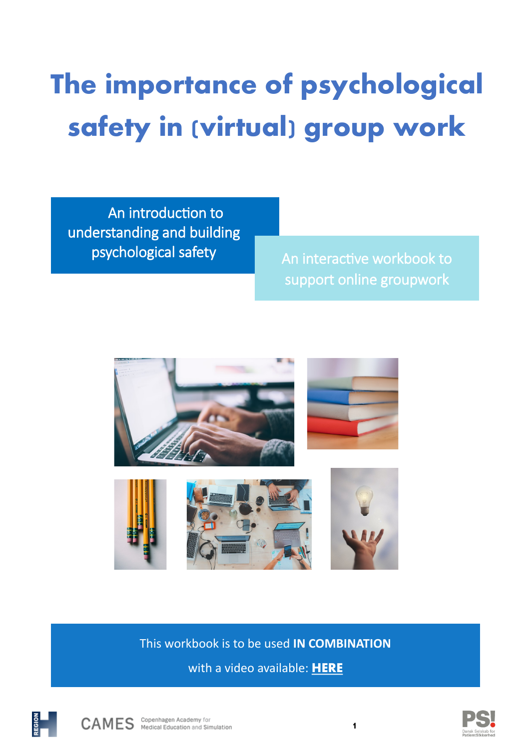# **The importance of psychological safety in (virtual) group work**

An introduction to understanding and building psychological safety and interactive workbook to

support online groupwork



This workbook is to be used **IN COMBINATION**  with a video available: **[HERE](https://region-hovedstaden-ekstern.23video.com/secret/63676290/48328028992e115324215e5a2a48c1fa)**





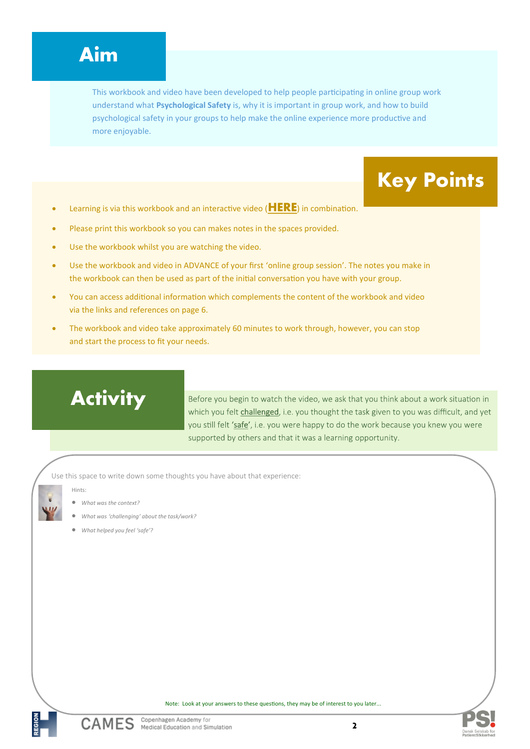### **Aim**

This workbook and video have been developed to help people participating in online group work understand what **Psychological Safety** is, why it is important in group work, and how to build psychological safety in your groups to help make the online experience more productive and more enjoyable.

- Learning is via this workbook and an interactive video (**[HERE](https://region-hovedstaden-ekstern.23video.com/secret/63676290/48328028992e115324215e5a2a48c1fa)**) in combination.
- Please print this workbook so you can makes notes in the spaces provided.
- Use the workbook whilst you are watching the video.
- Use the workbook and video in ADVANCE of your first 'online group session'. The notes you make in the workbook can then be used as part of the initial conversation you have with your group.
- You can access additional information which complements the content of the workbook and video via the links and references on page 6.
- The workbook and video take approximately 60 minutes to work through, however, you can stop and start the process to fit your needs.

## **Activity**

Before you begin to watch the video, we ask that you think about a work situation in which you felt challenged, i.e. you thought the task given to you was difficult, and yet you still felt 'safe', i.e. you were happy to do the work because you knew you were supported by others and that it was a learning opportunity.

**Key Points**

Use this space to write down some thoughts you have about that experience:

Hints:

- *What was the context?*
- *What was 'challenging' about the task/work?*
- *What helped you feel 'safe'?*

Note: Look at your answers to these questions, they may be of interest to you later...



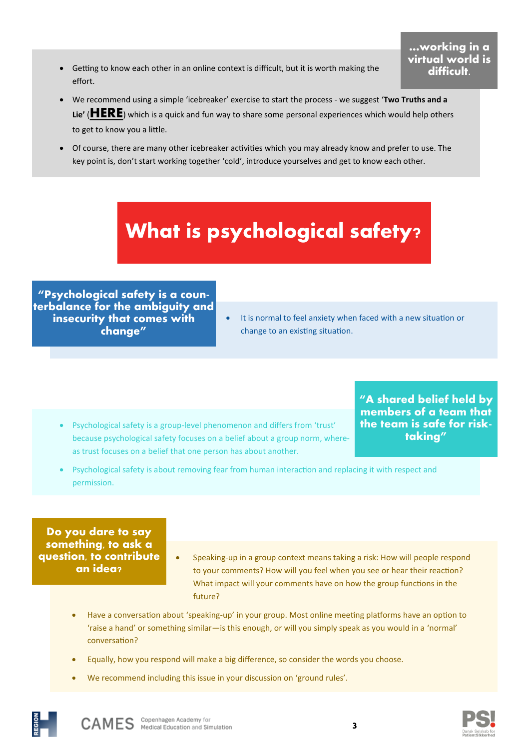• Getting to know each other in an online context is difficult, but it is worth making the effort.

#### **…working in a virtual world is difficult.**

- We recommend using a simple 'icebreaker' exercise to start the process we suggest '**Two Truths and a Lie'** (**[HERE](https://www.movingminds.dk/to-sandheder-og-en-logn)**) which is a quick and fun way to share some personal experiences which would help others to get to know you a little.
- Of course, there are many other icebreaker activities which you may already know and prefer to use. The key point is, don't start working together 'cold', introduce yourselves and get to know each other.

# **What is psychological safety?**

**"Psychological safety is a counterbalance for the ambiguity and insecurity that comes with change"**

• It is normal to feel anxiety when faced with a new situation or change to an existing situation.

• Psychological safety is a group-level phenomenon and differs from 'trust' because psychological safety focuses on a belief about a group norm, whereas trust focuses on a belief that one person has about another.

**"A shared belief held by members of a team that the team is safe for risktaking"**

• Psychological safety is about removing fear from human interaction and replacing it with respect and permission.

**Do you dare to say something, to ask a question, to contribute an idea?**

- Speaking-up in a group context means taking a risk: How will people respond to your comments? How will you feel when you see or hear their reaction? What impact will your comments have on how the group functions in the future?
- Have a conversation about 'speaking-up' in your group. Most online meeting platforms have an option to 'raise a hand' or something similar—is this enough, or will you simply speak as you would in a 'normal' conversation?
- Equally, how you respond will make a big difference, so consider the words you choose.
- We recommend including this issue in your discussion on 'ground rules'.





**3**

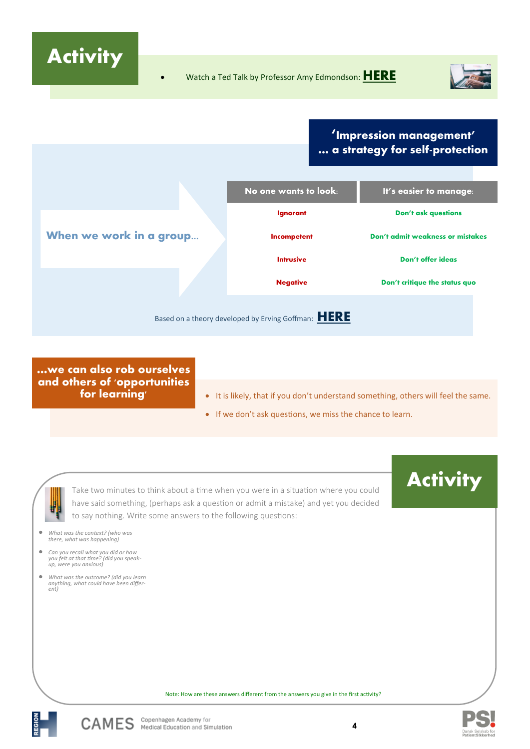**Activity**



### **'Impression management' … a strategy for self-protection**

|                                                     | No one wants to look: | It's easier to manage:           |
|-----------------------------------------------------|-----------------------|----------------------------------|
|                                                     | Ignorant              | <b>Don't ask questions</b>       |
| When we work in a group                             | Incompetent           | Don't admit weakness or mistakes |
|                                                     | <b>Intrusive</b>      | Don't offer ideas                |
|                                                     | <b>Negative</b>       | Don't critique the status quo    |
| Based on a theory developed by Erving Goffman: HERE |                       |                                  |

**…we can also rob ourselves and others of 'opportunities for learning'**

- It is likely, that if you don't understand something, others will feel the same.
	- If we don't ask questions, we miss the chance to learn.

Take two minutes to think about a time when you were in a situation where you could have said something, (perhaps ask a question or admit a mistake) and yet you decided to say nothing. Write some answers to the following questions:



• *What was the context? (who was there, what was happening)*

F)

- *Can you recall what you did or how you felt at that time? (did you speak-up, were you anxious)*
- *What was the outcome? (did you learn anything, what could have been differ-ent)*





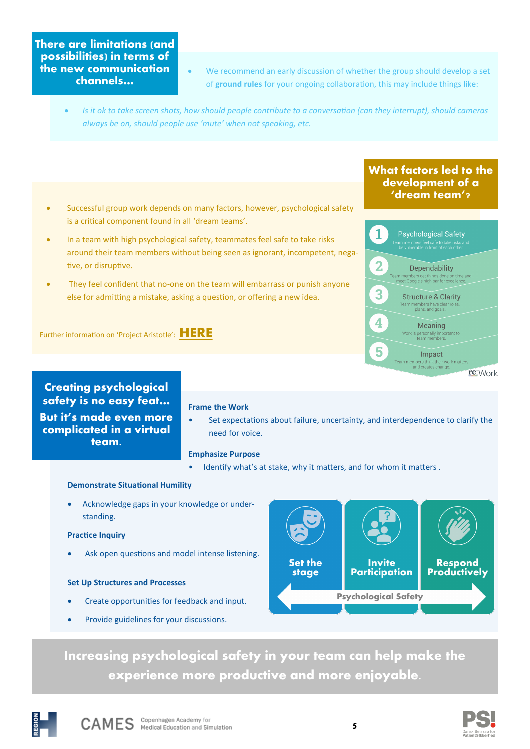#### **There are limitations (and possibilities) in terms of the new communication channels…**

- We recommend an early discussion of whether the group should develop a set of **ground rules** for your ongoing collaboration, this may include things like:
- *Is it ok to take screen shots, how should people contribute to a conversation (can they interrupt), should cameras always be on, should people use 'mute' when not speaking, etc.*

#### • Successful group work depends on many factors, however, psychological safety is a critical component found in all 'dream teams'.

- In a team with high psychological safety, teammates feel safe to take risks around their team members without being seen as ignorant, incompetent, negative, or disruptive.
- They feel confident that no-one on the team will embarrass or punish anyone else for admitting a mistake, asking a question, or offering a new idea.

Further information on 'Project Aristotle': **[HERE](https://rework.withgoogle.com/print/guides/5721312655835136/)**

#### **What factors led to the development of a 'dream team'?**



**Creating psychological safety is no easy feat… But it's made even more** 

**complicated in a virtual team.**

- **Frame the Work**
- Set expectations about failure, uncertainty, and interdependence to clarify the need for voice.

#### **Emphasize Purpose**

Identify what's at stake, why it matters, and for whom it matters.

#### **Demonstrate Situational Humility**

• Acknowledge gaps in your knowledge or understanding.

#### **Practice Inquiry**

Ask open questions and model intense listening.

#### **Set Up Structures and Processes**

- Create opportunities for feedback and input.
- Provide guidelines for your discussions.



**Increasing psychological safety in your team can help make the experience more productive and more enjoyable.**



**5**